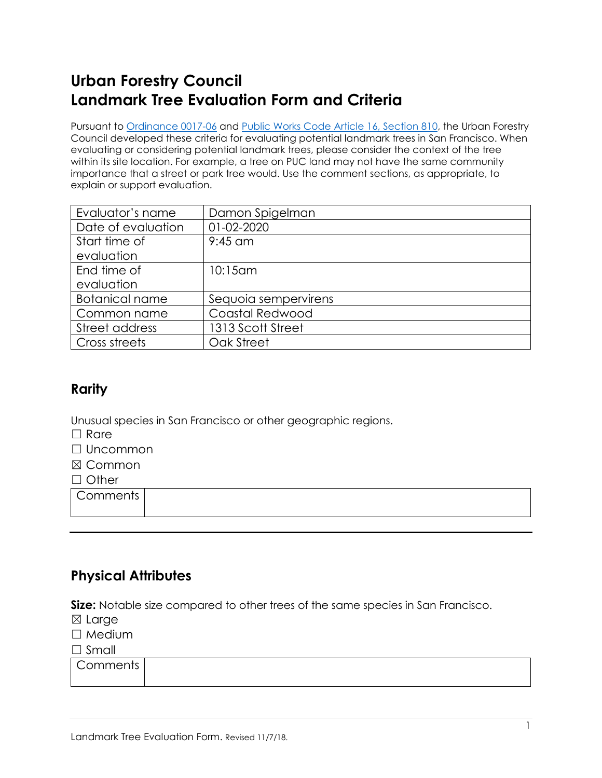# **Urban Forestry Council Landmark Tree Evaluation Form and Criteria**

Pursuant to [Ordinance 0017-06](https://sfbos.org/ftp/uploadedfiles/bdsupvrs/ordinances06/o0017-06.pdf) and [Public Works Code](https://sfenvironment.org/sites/default/files/policy/ufc_landmark_trees_ord.pdf) Article 16, Section 810, the Urban Forestry Council developed these criteria for evaluating potential landmark trees in San Francisco. When evaluating or considering potential landmark trees, please consider the context of the tree within its site location. For example, a tree on PUC land may not have the same community importance that a street or park tree would. Use the comment sections, as appropriate, to explain or support evaluation.

| Evaluator's name      | Damon Spigelman      |
|-----------------------|----------------------|
| Date of evaluation    | 01-02-2020           |
| Start time of         | $9:45$ am            |
| evaluation            |                      |
| End time of           | 10:15 am             |
| evaluation            |                      |
| <b>Botanical name</b> | Sequoia sempervirens |
| Common name           | Coastal Redwood      |
| Street address        | 1313 Scott Street    |
| Cross streets         | Oak Street           |

# **Rarity**

Unusual species in San Francisco or other geographic regions.

- $\Box$  Rare
- ☐ Uncommon
- ☒ Common
- □ Other

**Comments** 

# **Physical Attributes**

**Size:** Notable size compared to other trees of the same species in San Francisco.

- ☒ Large
- □ Medium

☐ Small

| Comments |  |
|----------|--|
|          |  |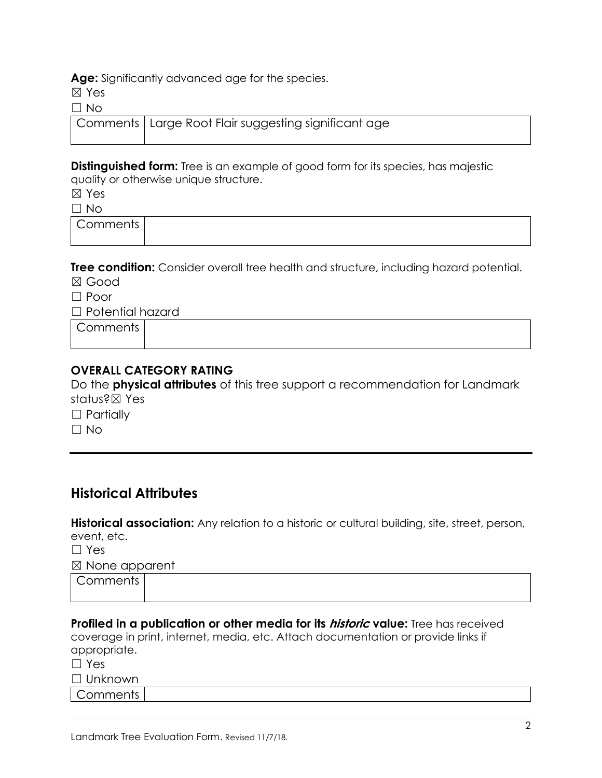**Age:** Significantly advanced age for the species.

☒ Yes

 $\Box$  No

| — 190 |                                                                    |
|-------|--------------------------------------------------------------------|
|       | $\mid$ Comments $\mid$ Large Root Flair suggesting significant age |

**Distinguished form:** Tree is an example of good form for its species, has majestic quality or otherwise unique structure.

☒ Yes

☐ No

Comments

**Tree condition:** Consider overall tree health and structure, including hazard potential.

☒ Good

☐ Poor

☐ Potential hazard

**Comments** 

### **OVERALL CATEGORY RATING**

Do the **physical attributes** of this tree support a recommendation for Landmark status?☒ Yes

□ Partially

 $\Box$  No

### **Historical Attributes**

**Historical association:** Any relation to a historic or cultural building, site, street, person, event, etc.

☐ Yes

☒ None apparent

| ⌒<br>Comments |  |  |
|---------------|--|--|
|               |  |  |

**Profiled in a publication or other media for its historic value:** Tree has received coverage in print, internet, media, etc. Attach documentation or provide links if appropriate.

| $\Box$ Yes     |  |  |  |
|----------------|--|--|--|
| $\Box$ Unknown |  |  |  |
| Comments       |  |  |  |
|                |  |  |  |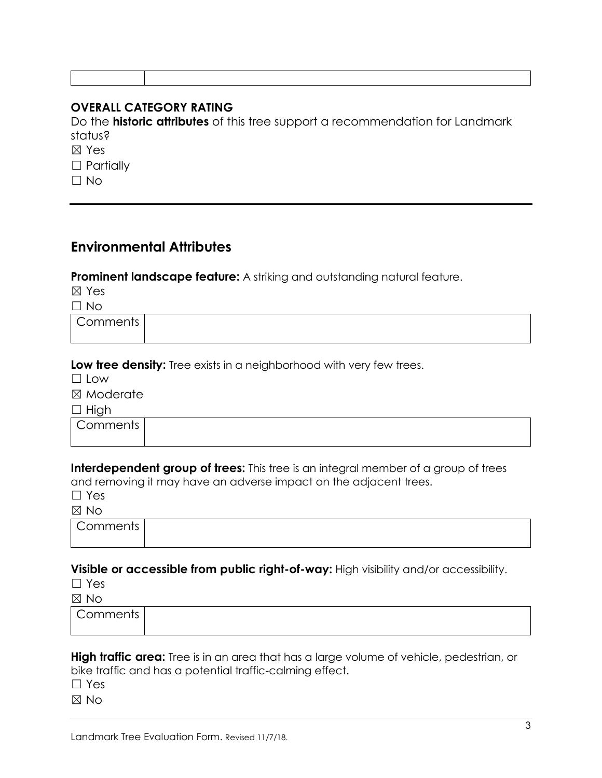### **OVERALL CATEGORY RATING**

Do the **historic attributes** of this tree support a recommendation for Landmark status?

☒ Yes

□ Partially

 $\Box$  No

## **Environmental Attributes**

#### **Prominent landscape feature:** A striking and outstanding natural feature.

☒ Yes  $\Box$  No.

| -NO             |  |  |  |  |  |
|-----------------|--|--|--|--|--|
| <b>Comments</b> |  |  |  |  |  |
|                 |  |  |  |  |  |

**Low tree density:** Tree exists in a neighborhood with very few trees.

 $\Box$  Low

☒ Moderate

 $\Box$  High

**Comments** 

**Interdependent group of trees:** This tree is an integral member of a group of trees and removing it may have an adverse impact on the adjacent trees.

☐ Yes

 $M \times N$ 

| ب سے ا                             |  |  |
|------------------------------------|--|--|
| $\sqrt{ }$<br>∴omments<br>112<br>. |  |  |

#### **Visible or accessible from public right-of-way:** High visibility and/or accessibility.

☐ Yes

☒ No

| . . |  |  |  |
|-----|--|--|--|
|     |  |  |  |

#### **High traffic area:** Tree is in an area that has a large volume of vehicle, pedestrian, or bike traffic and has a potential traffic-calming effect.

☐ Yes

 $\boxtimes$  No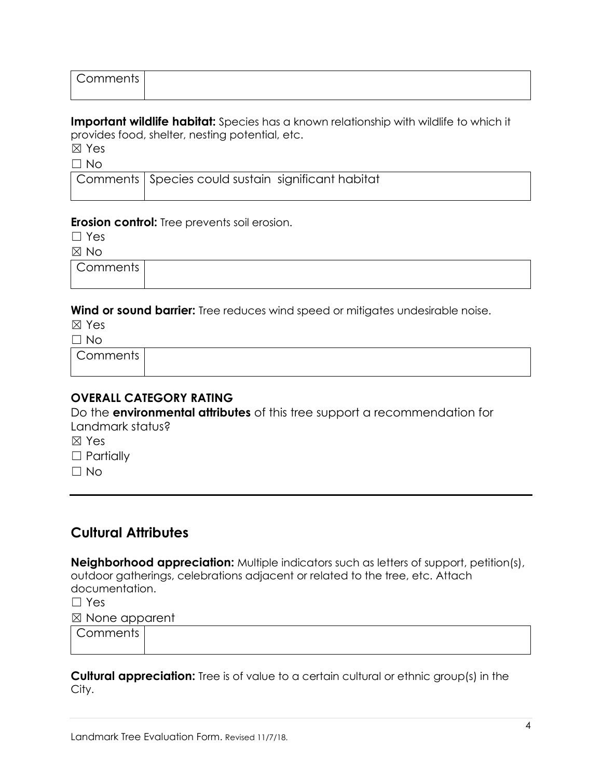| $\sqrt{ }$<br>$\sim$ $\sim$ $\sim$ $\sim$ $\sim$<br>.<br>,,,<br>. . |  |
|---------------------------------------------------------------------|--|
|                                                                     |  |

**Important wildlife habitat:** Species has a known relationship with wildlife to which it provides food, shelter, nesting potential, etc.

☒ Yes

 $\Box$  No

| ___ |                                                      |  |
|-----|------------------------------------------------------|--|
|     | Comments   Species could sustain significant habitat |  |

#### **Erosion control:** Tree prevents soil erosion.

☐ Yes

☒ No

**Comments** 

**Wind or sound barrier:** Tree reduces wind speed or mitigates undesirable noise.

☒ Yes

 $\Box$  No

**Comments** 

### **OVERALL CATEGORY RATING**

Do the **environmental attributes** of this tree support a recommendation for Landmark status?

☒ Yes

□ Partially

 $\Box$  No

# **Cultural Attributes**

**Neighborhood appreciation:** Multiple indicators such as letters of support, petition(s), outdoor gatherings, celebrations adjacent or related to the tree, etc. Attach documentation.

☐ Yes

☒ None apparent

| Comments |  |  |
|----------|--|--|
|          |  |  |

**Cultural appreciation:** Tree is of value to a certain cultural or ethnic group(s) in the City.